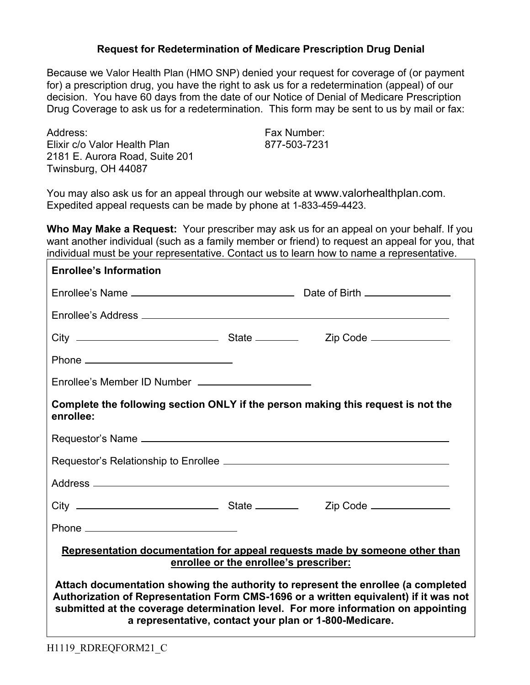## **Request for Redetermination of Medicare Prescription Drug Denial**

Because we Valor Health Plan (HMO SNP) denied your request for coverage of (or payment for) a prescription drug, you have the right to ask us for a redetermination (appeal) of our decision. You have 60 days from the date of our Notice of Denial of Medicare Prescription Drug Coverage to ask us for a redetermination. This form may be sent to us by mail or fax:

Address: Fax Number: Elixir c/o Valor Health Plan 877-503-7231 2181 E. Aurora Road, Suite 201 Twinsburg, OH 44087

You may also ask us for an appeal through our website at www.valorhealthplan.com. Expedited appeal requests can be made by phone at 1-833-459-4423.

**Who May Make a Request:** Your prescriber may ask us for an appeal on your behalf. If you want another individual (such as a family member or friend) to request an appeal for you, that individual must be your representative. Contact us to learn how to name a representative.

| <b>Enrollee's Information</b>                                                                                                                                                                                                                                                                                            |  |  |
|--------------------------------------------------------------------------------------------------------------------------------------------------------------------------------------------------------------------------------------------------------------------------------------------------------------------------|--|--|
|                                                                                                                                                                                                                                                                                                                          |  |  |
|                                                                                                                                                                                                                                                                                                                          |  |  |
|                                                                                                                                                                                                                                                                                                                          |  |  |
|                                                                                                                                                                                                                                                                                                                          |  |  |
|                                                                                                                                                                                                                                                                                                                          |  |  |
| Complete the following section ONLY if the person making this request is not the<br>enrollee:                                                                                                                                                                                                                            |  |  |
|                                                                                                                                                                                                                                                                                                                          |  |  |
|                                                                                                                                                                                                                                                                                                                          |  |  |
|                                                                                                                                                                                                                                                                                                                          |  |  |
|                                                                                                                                                                                                                                                                                                                          |  |  |
|                                                                                                                                                                                                                                                                                                                          |  |  |
| Representation documentation for appeal requests made by someone other than<br>enrollee or the enrollee's prescriber:                                                                                                                                                                                                    |  |  |
| Attach documentation showing the authority to represent the enrollee (a completed<br>Authorization of Representation Form CMS-1696 or a written equivalent) if it was not<br>submitted at the coverage determination level. For more information on appointing<br>a representative, contact your plan or 1-800-Medicare. |  |  |